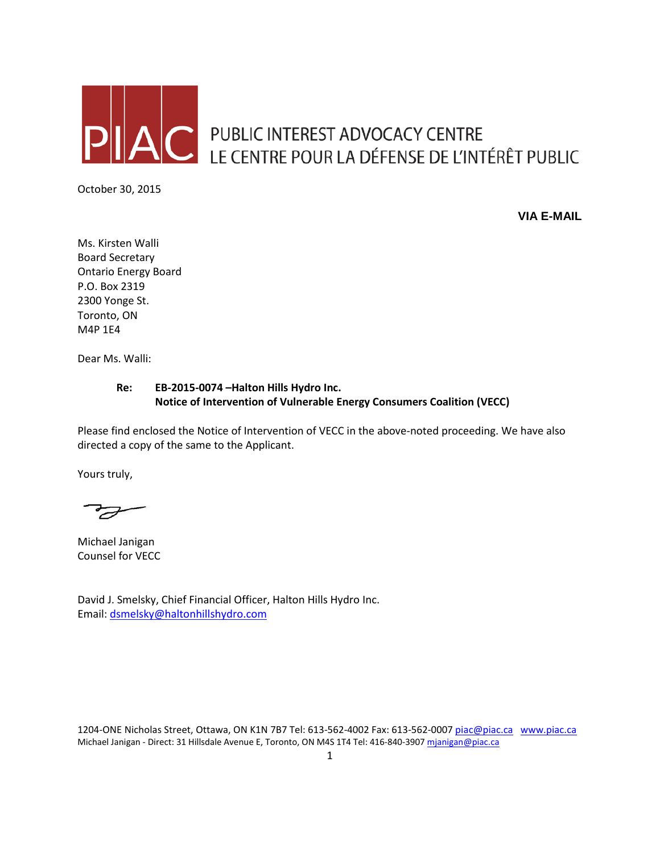

**C** PUBLIC INTEREST ADVOCACY CENTRE LE CENTRE POUR LA DÉFENSE DE L'INTÉRÊT PUBLIC

October 30, 2015

**VIA E-MAIL**

Ms. Kirsten Walli Board Secretary Ontario Energy Board P.O. Box 2319 2300 Yonge St. Toronto, ON M4P 1E4

Dear Ms. Walli:

## **Re: EB-2015-0074 –Halton Hills Hydro Inc. Notice of Intervention of Vulnerable Energy Consumers Coalition (VECC)**

Please find enclosed the Notice of Intervention of VECC in the above-noted proceeding. We have also directed a copy of the same to the Applicant.

Yours truly,

F

Michael Janigan Counsel for VECC

David J. Smelsky, Chief Financial Officer, Halton Hills Hydro Inc. Email: [dsmelsky@haltonhillshydro.com](mailto:dsmelsky@haltonhillshydro.com)

1204-ONE Nicholas Street, Ottawa, ON K1N 7B7 Tel: 613-562-4002 Fax: 613-562-000[7 piac@piac.ca](mailto:piac@piac.ca) [www.piac.ca](http://www.piac.ca/) Michael Janigan - Direct: 31 Hillsdale Avenue E, Toronto, ON M4S 1T4 Tel: 416-840-390[7 mjanigan@piac.ca](mailto:mjanigan@piac.ca)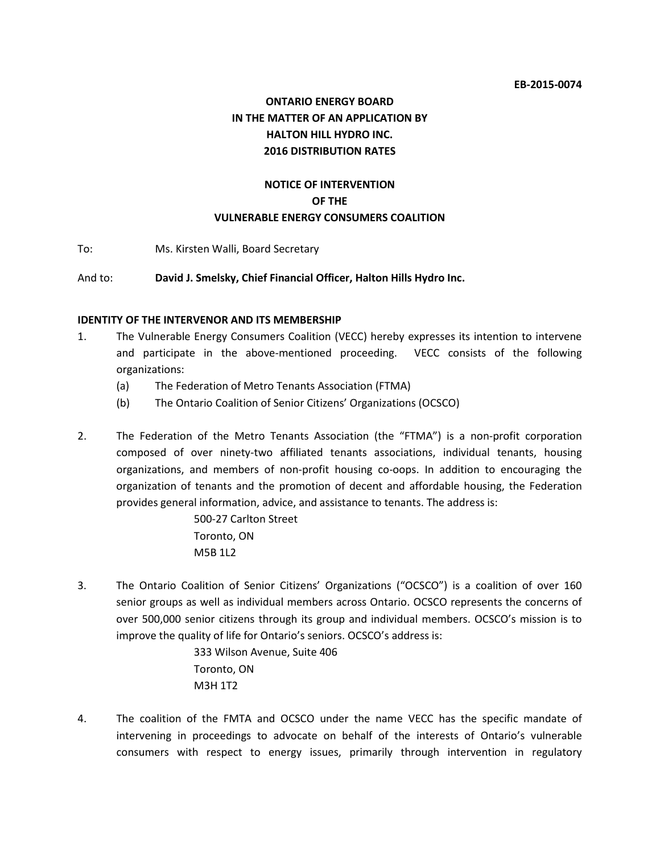# **ONTARIO ENERGY BOARD IN THE MATTER OF AN APPLICATION BY HALTON HILL HYDRO INC. 2016 DISTRIBUTION RATES**

## **NOTICE OF INTERVENTION OF THE VULNERABLE ENERGY CONSUMERS COALITION**

To: Ms. Kirsten Walli, Board Secretary

And to: **David J. Smelsky, Chief Financial Officer, Halton Hills Hydro Inc.**

#### **IDENTITY OF THE INTERVENOR AND ITS MEMBERSHIP**

- 1. The Vulnerable Energy Consumers Coalition (VECC) hereby expresses its intention to intervene and participate in the above-mentioned proceeding. VECC consists of the following organizations:
	- (a) The Federation of Metro Tenants Association (FTMA)
	- (b) The Ontario Coalition of Senior Citizens' Organizations (OCSCO)
- 2. The Federation of the Metro Tenants Association (the "FTMA") is a non-profit corporation composed of over ninety-two affiliated tenants associations, individual tenants, housing organizations, and members of non-profit housing co-oops. In addition to encouraging the organization of tenants and the promotion of decent and affordable housing, the Federation provides general information, advice, and assistance to tenants. The address is:

500-27 Carlton Street Toronto, ON M5B 1L2

3. The Ontario Coalition of Senior Citizens' Organizations ("OCSCO") is a coalition of over 160 senior groups as well as individual members across Ontario. OCSCO represents the concerns of over 500,000 senior citizens through its group and individual members. OCSCO's mission is to improve the quality of life for Ontario's seniors. OCSCO's address is:

> 333 Wilson Avenue, Suite 406 Toronto, ON M3H 1T2

4. The coalition of the FMTA and OCSCO under the name VECC has the specific mandate of intervening in proceedings to advocate on behalf of the interests of Ontario's vulnerable consumers with respect to energy issues, primarily through intervention in regulatory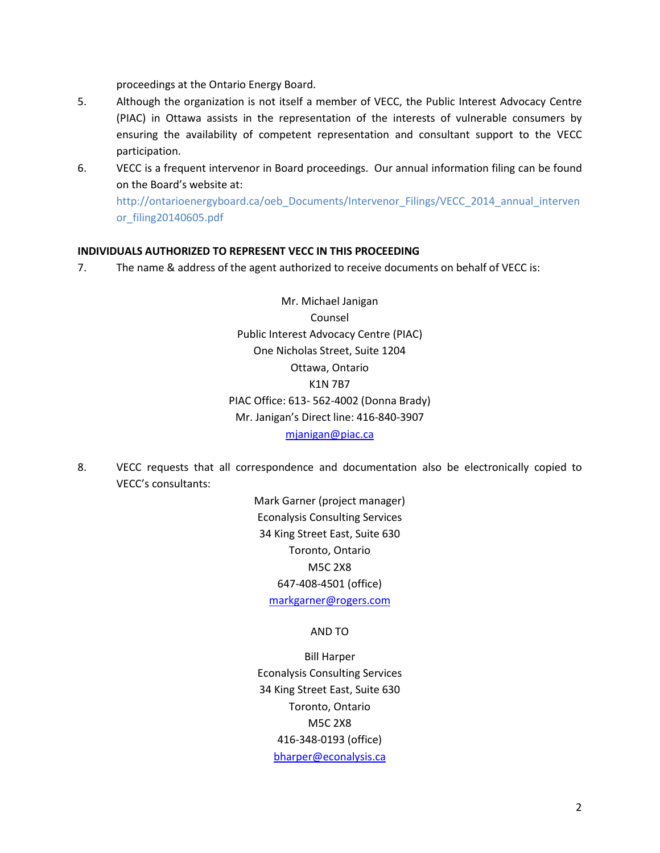proceedings at the Ontario Energy Board.

- 5. Although the organization is not itself a member of VECC, the Public Interest Advocacy Centre (PIAC) in Ottawa assists in the representation of the interests of vulnerable consumers by ensuring the availability of competent representation and consultant support to the VECC participation.
- 6. VECC is a frequent intervenor in Board proceedings. Our annual information filing can be found on the Board's website at:

http://ontarioenergyboard.ca/oeb\_Documents/Intervenor\_Filings/VECC\_2014\_annual\_interven or\_filing20140605.pdf

#### **INDIVIDUALS AUTHORIZED TO REPRESENT VECC IN THIS PROCEEDING**

7. The name & address of the agent authorized to receive documents on behalf of VECC is:

Mr. Michael Janigan Counsel Public Interest Advocacy Centre (PIAC) One Nicholas Street, Suite 1204 Ottawa, Ontario K1N 7B7 PIAC Office: 613- 562-4002 (Donna Brady) Mr. Janigan's Direct line: 416-840-3907 [mjanigan@piac.ca](mailto:mjanigan@piac.ca)

8. VECC requests that all correspondence and documentation also be electronically copied to VECC's consultants:

> Mark Garner (project manager) Econalysis Consulting Services 34 King Street East, Suite 630 Toronto, Ontario M5C 2X8 647-408-4501 (office) [markgarner@rogers.com](mailto:markgarner@rogers.com)

#### AND TO

Bill Harper Econalysis Consulting Services 34 King Street East, Suite 630 Toronto, Ontario M5C 2X8 416-348-0193 (office) [bharper@econalysis.ca](mailto:bharper@econalysis.ca)